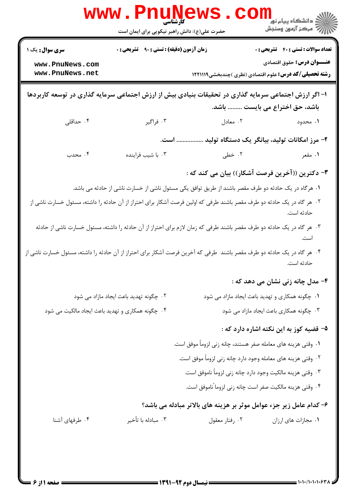| <b>WWW</b>                                                                                                              | کار شناسی<br>حضرت علی(ع): دانش راهبر نیکویی برای ایمان است |                                                                                                                       | ≦ دانشڪاه پيام نور<br>7- مرڪز آزمون وسنڊش                                                          |
|-------------------------------------------------------------------------------------------------------------------------|------------------------------------------------------------|-----------------------------------------------------------------------------------------------------------------------|----------------------------------------------------------------------------------------------------|
| <b>سری سوال :</b> یک ۱                                                                                                  | <b>زمان آزمون (دقیقه) : تستی : ۹۰ قشریحی : .</b>           |                                                                                                                       | <b>تعداد سوالات : تستی : 40 - تشریحی : 0</b>                                                       |
| www.PnuNews.com<br>www.PnuNews.net                                                                                      |                                                            |                                                                                                                       | <b>عنـــوان درس:</b> حقوق اقتصادي<br><b>رشته تحصیلی/کد درس:</b> علوم اقتصادی (نظری )چندبخشی1۲۲۱۱۱۹ |
| ا– اگر ارزش اجتماعی سرمایه گذاری در تحقیقات بنیادی بیش از ارزش اجتماعی سرمایه گذاری در توسعه کاربردها                   |                                                            |                                                                                                                       |                                                                                                    |
|                                                                                                                         |                                                            |                                                                                                                       | باشد، حق اختراع می بایست  باشد.                                                                    |
| ۰۴ حداقلی                                                                                                               | ۰۳ فراگیر                                                  | ۰۲ معادل                                                                                                              | ۱. محدود                                                                                           |
|                                                                                                                         | است.                                                       |                                                                                                                       | ۲– مرز امکانات تولید، بیانگر یک دستگاه تولید                                                       |
| ۰۴ محدب                                                                                                                 | ۰۳ با شيب فراينده                                          | ۰۲ خطی                                                                                                                | ۰۱ مقعر                                                                                            |
|                                                                                                                         |                                                            | ۳- دکترین ((آخرین فرصت آشکار)) بیان می کند که :                                                                       |                                                                                                    |
|                                                                                                                         |                                                            | ۰۱ هرگاه در یک حادثه دو طرف مقصر باشند از طریق توافق یکی مسئول ناشی از خسارت ناشی از حادثه می باشد.                   |                                                                                                    |
| ۲.  هر گاه در یک حادثه دو طرف مقصر باشند طرفی که اولین فرصت آشکار برای احتراز از آن حادثه را داشته، مسئول خسارت ناشی از |                                                            |                                                                                                                       | حادثه است.                                                                                         |
|                                                                                                                         |                                                            | ۰۳ هر گاه در یک حادثه دو طرف مقصر باشند طرفی که زمان لازم برای احتراز از آن حادثه را داشته، مسئول خسارت ناشی از حادثه | است.                                                                                               |
| ۰۴ هر گاه در یک حادثه دو طرف مقصر باشند  طرفی که آخرین فرصت آشکار برای احتراز از آن حادثه را داشته، مسئول خسارت ناشی از |                                                            |                                                                                                                       | حادثه است.                                                                                         |
|                                                                                                                         |                                                            |                                                                                                                       | ۴– مدل چانه زنی نشان می دهد که :                                                                   |
|                                                                                                                         | ۰۲ چگونه تهدید باعث ایجاد مازاد می شود                     |                                                                                                                       | <b>۱.</b> چگونه همکاری و تهدید باعث ایجاد مازاد می شود                                             |
| ۰۴ چگونه همکاری و تهدید باعث ایجاد مالکیت می شود                                                                        |                                                            |                                                                                                                       | ۰۳ چگونه همکاری باعث ایجاد مازاد می شود                                                            |
|                                                                                                                         |                                                            |                                                                                                                       | ۵– قضیه کوز به این نکته اشاره دارد که :                                                            |
|                                                                                                                         |                                                            | ١. وقتى هزينه هاى معامله صفر هستند، چانه زنى لزوماً موفق است.                                                         |                                                                                                    |
|                                                                                                                         |                                                            | ۲ . وقتی هزینه های معامله وجود دارد چانه زنی لزوماً موفق است.                                                         |                                                                                                    |
|                                                                                                                         |                                                            | ۰۳ وقتی هزینه مالکیت وجود دارد چانه زنی لزوماً ناموفق است.                                                            |                                                                                                    |
|                                                                                                                         |                                                            | ۰۴ وقتی هزینه مالکیت صفر است چانه زنی لزوما ًناموفق است.                                                              |                                                                                                    |
|                                                                                                                         |                                                            | ۶- کدام عامل زیر جزء عوامل موثر بر هزینه های بالاتر مبادله می باشد؟                                                   |                                                                                                    |
| ۰۴ طرفهای آشنا                                                                                                          | ۰۳ مبادله با تأخير                                         | ۰۲ رفتار معقول                                                                                                        | ٠١. مجازات هاي ارزان                                                                               |
|                                                                                                                         |                                                            |                                                                                                                       |                                                                                                    |
|                                                                                                                         |                                                            |                                                                                                                       |                                                                                                    |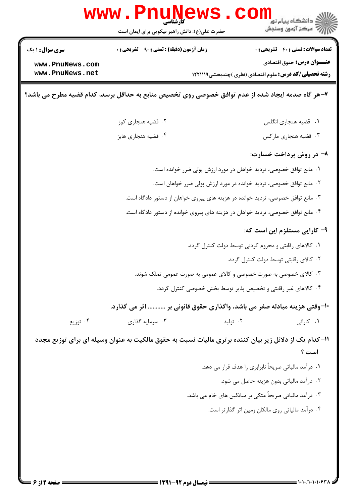|                                                                                                                 | <b>www.PnuNews</b>                                                               |                                                                     | ڪ دانشڪاه پيا <sub>م</sub> نور<br>7ء مرڪز آزمون وسنڊش         |  |
|-----------------------------------------------------------------------------------------------------------------|----------------------------------------------------------------------------------|---------------------------------------------------------------------|---------------------------------------------------------------|--|
|                                                                                                                 | حضرت علی(ع): دانش راهبر نیکویی برای ایمان است                                    |                                                                     |                                                               |  |
| سری سوال: ۱ یک                                                                                                  | <b>زمان آزمون (دقیقه) : تستی : ۹۰ قشریحی : 0</b>                                 |                                                                     | <b>تعداد سوالات : تستي : 40 ٪ تشريحي : 0</b>                  |  |
| www.PnuNews.com                                                                                                 |                                                                                  |                                                                     | <b>عنـــوان درس:</b> حقوق اقتصادي                             |  |
| www.PnuNews.net                                                                                                 |                                                                                  |                                                                     | <b>رشته تحصیلی/کد درس:</b> علوم اقتصادی (نظری )چندبخشی1۲۲۱۱۱۹ |  |
| ۷-هر گاه صدمه ایجاد شده از عدم توافق خصوصی روی تخصیص منابع به حداقل برسد، کدام قضیه مطرح می باشد؟               |                                                                                  |                                                                     |                                                               |  |
|                                                                                                                 | ۰۲ قضیه هنجاری کوز                                                               |                                                                     | ٠١ قضيه هنجاري انگلس                                          |  |
|                                                                                                                 | ۰۴ قضیه هنجاری هابز                                                              |                                                                     | ۰۳ قضیه هنجاری مارکس                                          |  |
|                                                                                                                 |                                                                                  |                                                                     | ۸- در روش پرداخت خسارت:                                       |  |
|                                                                                                                 |                                                                                  | ۰۱ مانع توافق خصوصی، تردید خواهان در مورد ارزش پولی ضرر خوانده است. |                                                               |  |
|                                                                                                                 | ۰۲ مانع توافق خصوصی، تردید خوانده در مورد ارزش پولی ضرر خواهان است.              |                                                                     |                                                               |  |
|                                                                                                                 | ۰۳ مانع توافق خصوصی، تردید خوانده در هزینه های پیروی خواهان از دستور دادگاه است. |                                                                     |                                                               |  |
|                                                                                                                 | ۰۴ مانع توافق خصوصی، تردید خواهان در هزینه های پیروی خوانده از دستور دادگاه است. |                                                                     |                                                               |  |
|                                                                                                                 |                                                                                  |                                                                     | ۹- کارایی مستلزم این است که:                                  |  |
|                                                                                                                 |                                                                                  | ۰۱ کالاهای رقابتی و محروم کردنی توسط دولت کنترل گردد.               |                                                               |  |
|                                                                                                                 |                                                                                  |                                                                     | ۰۲ کالای رقابتی توسط دولت کنترل گردد.                         |  |
|                                                                                                                 | ۰۳ کالای خصوصی به صورت خصوصی و کالای عمومی به صورت عمومی تملک شوند.              |                                                                     |                                                               |  |
|                                                                                                                 |                                                                                  | ۰۴ کالاهای غیر رقابتی و تخصیص پذیر توسط بخش خصوصی کنترل گردد.       |                                                               |  |
|                                                                                                                 | +۱-وقتی هزینه مبادله صفر می باشد، واگذاری حقوق قانونی بر  اثر می گذارد.          |                                                                     |                                                               |  |
| ۰۴ توزیع                                                                                                        | ۰۳ سرمایه گذاری                                                                  | ۰۲ تولید                                                            | ۰۱ کارائی                                                     |  |
| 1۱– کدام یک از دلائل زیر بیان کننده برتری مالیات نسبت به حقوق مالکیت به عنوان وسیله ای برای توزیع مجدد<br>است ؟ |                                                                                  |                                                                     |                                                               |  |
|                                                                                                                 |                                                                                  | ۰۱ درآمد مالیاتی صریحاً نابرابری را هدف قرار می دهد.                |                                                               |  |
|                                                                                                                 |                                                                                  |                                                                     | ۰۲ درآمد مالیاتی بدون هزینه حاصل می شود.                      |  |
|                                                                                                                 |                                                                                  | ۰۳ درآمد مالیاتی صریحاً متکی بر میانگین های خام می باشد.            |                                                               |  |
|                                                                                                                 |                                                                                  |                                                                     | ۰۴ درآمد مالیاتی روی مالکان زمین اثر گذارتر است.              |  |
|                                                                                                                 |                                                                                  |                                                                     |                                                               |  |
|                                                                                                                 |                                                                                  |                                                                     |                                                               |  |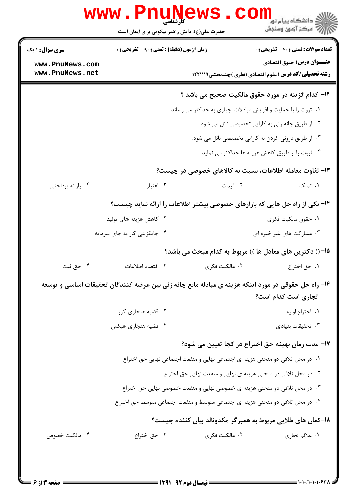|                                    | <b>www.PnuNews</b><br>حضرت علی(ع): دانش راهبر نیکویی برای ایمان است                                |                                                                                | د دانشگاه پيام نور<br>اڳ مرکز آزمون وسنجش<br>اڳ مرکز آزمون وسنجش |
|------------------------------------|----------------------------------------------------------------------------------------------------|--------------------------------------------------------------------------------|------------------------------------------------------------------|
| <b>سری سوال : ۱ یک</b>             | <b>زمان آزمون (دقیقه) : تستی : ۹۰٪ تشریحی : 0</b>                                                  |                                                                                | <b>تعداد سوالات : تستی : 40 - تشریحی : 0</b>                     |
| www.PnuNews.com<br>www.PnuNews.net |                                                                                                    | <b>رشته تحصیلی/کد درس:</b> علوم اقتصادی (نظری )چندبخشی1۲۲۱۱۱۹                  | <b>عنـــوان درس:</b> حقوق اقتصادي                                |
|                                    |                                                                                                    | ۱۲- کدام گزینه در مورد حقوق مالکیت صحیح می باشد ؟                              |                                                                  |
|                                    |                                                                                                    | ۰۱ ثروت را با حمایت و افزایش مبادلات اجباری به حداکثر می رساند.                |                                                                  |
|                                    |                                                                                                    | ۰۲ از طریق چانه زنی به کارایی تخصیصی نائل می شود.                              |                                                                  |
|                                    |                                                                                                    | ۰۳ از طریق درونی کردن به کارایی تخصیصی نائل می شود.                            |                                                                  |
|                                    |                                                                                                    | ۴. ثروت را از طریق کاهش هزینه ها حداکثر می نماید.                              |                                                                  |
|                                    |                                                                                                    | ۱۳- تفاوت معامله اطلاعات، نسبت به کالاهای خصوصی در چیست؟                       |                                                                  |
| ۰۴ يارانه پرداختي                  | ۰۳ اعتبار                                                                                          | ۰۲ قیمت                                                                        | ۰۱ تملک                                                          |
|                                    | ۱۴- یکی از راه حل هایی که بازارهای خصوصی بیشتر اطلاعات را ارائه نماید چیست؟                        |                                                                                |                                                                  |
|                                    | ۰۲ کاهش هزینه های تولید                                                                            |                                                                                | ٠١. حقوق مالكيت فكرى                                             |
|                                    | ۰۴ جایگزینی کار به جای سرمایه                                                                      |                                                                                | ۰۳ مشارکت های غیر خیره ای                                        |
|                                    |                                                                                                    | 1۵– (( دکترین های معادل ها )) مربوط به کدام مبحث می باشد؟                      |                                                                  |
| ۰۴ حق ثبت                          | ۰۳ اقتصاد اطلاعات                                                                                  | ۰۲ مالکیت فکری                                                                 | ۰۱ حق اختراع                                                     |
|                                    | ۱۶– راه حل حقوقی در مورد اینکه هزینه ی مبادله مانع چانه زنی بین عرضه کنندگان تحقیقات اساسی و توسعه |                                                                                | تجاری است کدام است؟                                              |
|                                    | ۰۲ قضیه هنجاری کوز                                                                                 |                                                                                | ٠١. اختراع اوليه                                                 |
|                                    | ۰۴ قضیه هنجاری هیکس                                                                                |                                                                                | ۰۳ تحقیقات بنیادی                                                |
|                                    |                                                                                                    | ۱۷- مدت زمان بهینه حق اختراع در کجا تعیین می شود؟                              |                                                                  |
|                                    |                                                                                                    | ۰۱ در محل تلاقی دو منحنی هزینه ی اجتماعی نهایی و منفعت اجتماعی نهایی حق اختراع |                                                                  |
|                                    |                                                                                                    | ۰۲ در محل تلاقی دو منحنی هزینه ی نهایی و منفعت نهایی حق اختراع                 |                                                                  |
|                                    |                                                                                                    | ۰۳ در محل تلاقی دو منحنی هزینه ی خصوصی نهایی و منفعت خصوصی نهایی حق اختراع     |                                                                  |
|                                    | ۰۴ در محل تلاقی دو منحنی هزینه ی اجتماعی متوسط و منفعت اجتماعی متوسط حق اختراع                     |                                                                                |                                                                  |
|                                    |                                                                                                    | ۱۸–کمان های طلایی مربوط به همبرگر مکدونالد بیان کننده چیست؟                    |                                                                  |
| ۰۴ مالکیت خصوص                     | ۰۳ حق اختراع                                                                                       | ۰۲ مالکیت فکری                                                                 | ۰۱ علائم تجاري                                                   |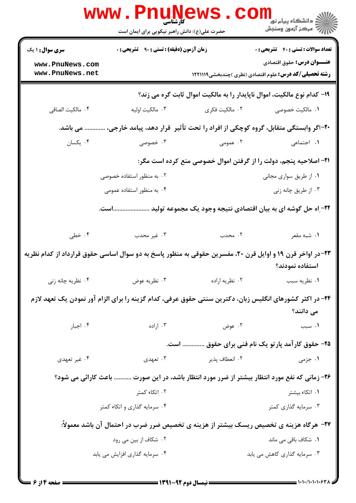|                                                                                                                      | www . Pn<br>کارشناسی<br>حضرت علی(ع): دانش راهبر نیکویی برای ایمان است   |                | ڪ دانشڪاه پيا <sub>م</sub> نور<br><mark>√</mark> مرڪز آزمون وسنڊش                                  |  |
|----------------------------------------------------------------------------------------------------------------------|-------------------------------------------------------------------------|----------------|----------------------------------------------------------------------------------------------------|--|
| سری سوال : ۱ یک                                                                                                      | <b>زمان آزمون (دقیقه) : تستی : ۹۰ تشریحی : 0</b>                        |                | <b>تعداد سوالات : تستی : 40 - تشریحی : 0</b>                                                       |  |
| www.PnuNews.com<br>www.PnuNews.net                                                                                   |                                                                         |                | <b>عنـــوان درس:</b> حقوق اقتصادي<br><b>رشته تحصیلی/کد درس:</b> علوم اقتصادی (نظری )چندبخشی1221119 |  |
|                                                                                                                      | ۱۹- کدام نوع مالکیت، اموال ناپایدار را به مالکیت اموال ثابت گره می زند؟ |                |                                                                                                    |  |
| ۰۴ مالكيت الصاقى                                                                                                     | ۰۳ مالکیت اولیه                                                         | ۰۲ مالکیت فکری | ۰۱ مالکیت خصوصی                                                                                    |  |
| می باشد.                                                                                                             |                                                                         |                | ۲۰-اگر وابستگی متقابل، گروه کوچکی از افراد را تحت تأثیر ًقرار دهد، پیامد خارجی،                    |  |
| ۰۴ يکسان                                                                                                             | ۰۳ خصوصی                                                                | ۰۲ عمومی       | ٠١. اجتماعي                                                                                        |  |
|                                                                                                                      |                                                                         |                | <b>۳۱- اصلاحیه پنجم، دولت را از گرفتن اموال خصوصی منع کرده است مگر:</b>                            |  |
|                                                                                                                      | ۰۲ به منظور استفاده خصوصی                                               |                | ۰۱ از طریق سواری مجانی                                                                             |  |
|                                                                                                                      | ۰۴ به منظور استفاده عمومی                                               |                | ۰۳ از طریق چانه زنی                                                                                |  |
|                                                                                                                      |                                                                         |                | ۲۲– اه حل گوشه ای به بیان اقتصادی نتیجه وجود یک مجموعه تولید است.                                  |  |
| ۰۴ خطی                                                                                                               | ۰۳ غیر محدب                                                             | ۰۲ محدب        | ۰۱ شبه مقعر                                                                                        |  |
| ۲۳-در اواخر قرن ۱۹ و اوایل قرن ۲۰، مفسرین حقوقی به منظور پاسخ به دو سوال اساسی حقوق قرارداد از کدام نظریه            |                                                                         |                | استفاده نمودند؟                                                                                    |  |
| ۰۴ نظریه چانه زنی                                                                                                    | ۰۳ نظریه عوض                                                            | ۰۲ نظریه اراده | ٠١ نظريه سبب                                                                                       |  |
| ۲۴– در اکثر کشورهای انگلیس زبان، دکترین سنتی حقوق عرفی، کدام گزینه را برای الزام آور نمودن یک تعهد لازم<br>می دانند؟ |                                                                         |                |                                                                                                    |  |
| ۰۴ اجبار                                                                                                             | ۰۳ اراده                                                                | ۰۲ عوض         | ۰۱ سبب                                                                                             |  |
|                                                                                                                      |                                                                         |                | ۲۵- حقوق کارآمد پارتو یک نام فنی برای حقوق  است.                                                   |  |
| ۰۴ غیر تعهدی                                                                                                         | ۰۳ تعهدی                                                                | ٢. انعطاف پذير | ۰۱ جزمی                                                                                            |  |
|                                                                                                                      |                                                                         |                | ۲۶- زمانی که نفع مورد انتظار بیشتر از ضرر مورد انتظار باشد، در این صورت  باعث کارائی می شود؟       |  |
|                                                                                                                      | ۰۲ اتکاء کمتر                                                           |                | ۰۱ اتکاء بیشتر                                                                                     |  |
|                                                                                                                      | ۰۴ سرمایه گذاری و اتکاء کمتر                                            |                | ۰۳ سرمایه گذاری کمتر                                                                               |  |
|                                                                                                                      |                                                                         |                | <b>۲۷- هرگاه هزینه ی تخصیص ریسک بیشتر از هزینه ی تخصیص ضرر ضرب در احتمال آن باشد معمولاً:</b>      |  |
|                                                                                                                      | ۰۲ شکاف از بین می رود                                                   |                | ۰۱ شکاف باقی می ماند                                                                               |  |
|                                                                                                                      | ۰۴ سرمایه گذاری افزایش می یابد                                          |                | ۰۳ سرمایه گذاری کاهش می یابد                                                                       |  |
|                                                                                                                      |                                                                         |                |                                                                                                    |  |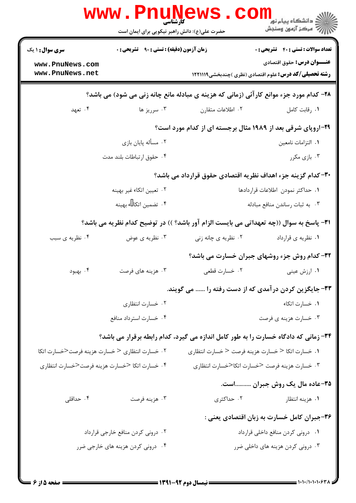|                                                              | کارشناسی<br>حضرت علی(ع): دانش راهبر نیکویی برای ایمان است |                     | ڪ دانشڪاه پيا <sub>م</sub> نور<br><mark>ر</mark> ∕ مرڪز آزمون وسنڊش                                |
|--------------------------------------------------------------|-----------------------------------------------------------|---------------------|----------------------------------------------------------------------------------------------------|
| <b>سری سوال :</b> ۱ یک                                       | <b>زمان آزمون (دقیقه) : تستی : ۹۰ قشریحی : 0</b>          |                     | <b>تعداد سوالات : تستي : 40 ٪ تشريحي : 0</b>                                                       |
| www.PnuNews.com<br>www.PnuNews.net                           |                                                           |                     | <b>عنـــوان درس:</b> حقوق اقتصادي<br><b>رشته تحصیلی/کد درس:</b> علوم اقتصادی (نظری )چندبخشی1۲۲۱۱۱۹ |
|                                                              |                                                           |                     | ۲۸- کدام مورد جزء موانع کارآئی (زمانی که هزینه ی مبادله مانع چانه زنی می شود) می باشد؟             |
| ۰۴ تعهد                                                      | ۰۳ سرريز ها                                               | ٢. اطلاعات متقارن   | ٠١. رقابت كامل                                                                                     |
|                                                              |                                                           |                     | <b>۲۹-اروپای شرقی بعد از ۱۹۸۹ مثال برجسته ای از کدام مورد است؟</b>                                 |
|                                                              | ۰۲ مسأله پایان بازی                                       |                     | ٠١. التزامات نامعين                                                                                |
|                                                              | ۰۴ حقوق ارتباطات بلند مدت                                 |                     | ۰۳ بازی مکرر                                                                                       |
| ۳۰– کدام گزینه جزء اهداف نظریه اقتصادی حقوق قرارداد می باشد؟ |                                                           |                     |                                                                                                    |
|                                                              | ۰۲ تعیین اتکاء غیر بهینه                                  |                     | ٠١ حداكثر نمودن اطلاعات قراردادها                                                                  |
|                                                              | ۰۴ تضمین اتکا ، بهینه                                     |                     | ۰۳ به ثبات رساندن منافع مبادله                                                                     |
|                                                              |                                                           |                     | ٣١- پاسخ به سوال ((چه تعهداتي مي بايست الزام آور باشد؟ )) در توضيح كدام نظريه مي باشد؟             |
| ۰۴ نظریه ی سبب                                               | ۰۳ نظریه ی عوض                                            | ۰۲ نظریه ی چانه زنی | ۰۱ نظریه ی قرارداد                                                                                 |
|                                                              |                                                           |                     | 32- کدام روش جزء روشهای جبران خسارت می باشد؟                                                       |
| ۰۴ بهبود                                                     | ۰۳ هزینه های فرصت                                         | ۰۲ خسارت قطعي       | ۰۱ ارزش عینی                                                                                       |
|                                                              |                                                           |                     | ۳۳- جایگزین کردن درآمدی که از دست رفته را  می گویند.                                               |
|                                                              | ۰۲ خسارت انتظاری                                          |                     | ٠١ خسارت اتكاء                                                                                     |
|                                                              | ۰۴ خسارت استرداد منافع                                    |                     | ۰۳ خسارت هزینه ی فرصت                                                                              |
|                                                              |                                                           |                     | ۳۴- زمانی که دادگاه خسارت را به طور کامل اندازه می گیرد، کدام رابطه برقرار می باشد؟                |
| ۰۲ خسارت انتظاری < خسارت هزینه فرصت<خسارت اتکا               |                                                           |                     | ١. خسارت اتكا < خسارت هزينه فرصت < خسارت انتظارى                                                   |
| ۰۴ خسارت اتكا <خسارت هزينه فرصت<خسارت انتظاري                |                                                           |                     | ۰۳ خسارت هزينه فرصت <خسارت اتكا<خسارت انتظارى                                                      |
|                                                              |                                                           |                     | ۳۵-عاده مال یک روش جبران است.                                                                      |
| ۰۴ حداقلی                                                    | ۰۳ هزينه فرصت                                             | ۰۲ حداکثری          | ۰۱ هزینه انتظار                                                                                    |
|                                                              |                                                           |                     | ۳۶-جبران کامل خسارت به زبان اقتصادی یعنی :                                                         |
|                                                              | ۰۲ درونی کردن منافع خارجی قرارداد                         |                     | ٠١ دروني كردن منافع داخلي قرارداد                                                                  |
|                                                              | ۰۴ درونی کردن هزینه های خارجی ضرر                         |                     | ۰۳ درونی کردن هزینه های داخلی ضرر                                                                  |
|                                                              |                                                           |                     |                                                                                                    |